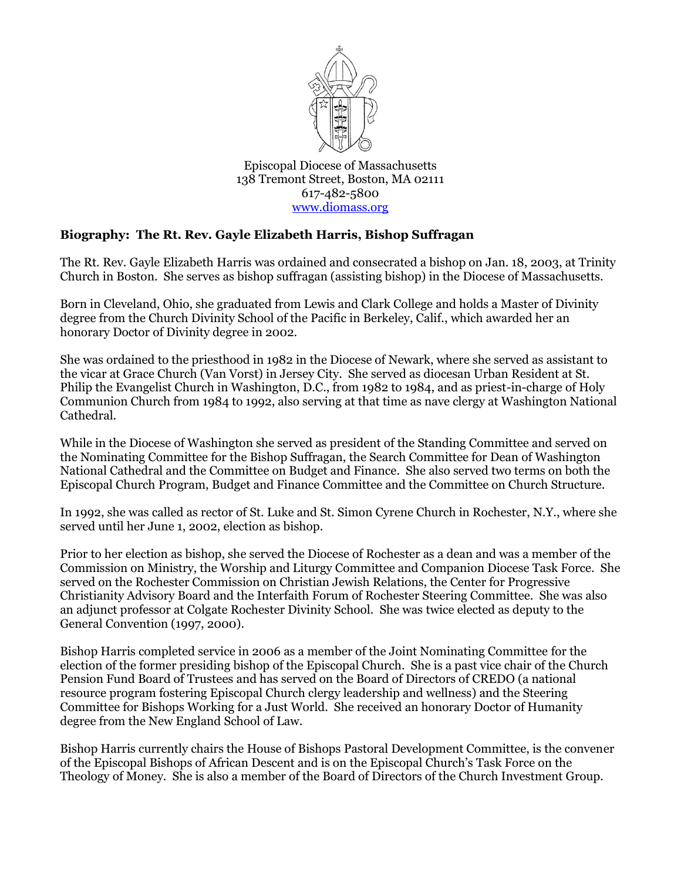

Episcopal Diocese of Massachusetts 138 Tremont Street, Boston, MA 02111 617-482-5800 [www.diomass.org](http://www.diomass.org/)

## **Biography: The Rt. Rev. Gayle Elizabeth Harris, Bishop Suffragan**

The Rt. Rev. Gayle Elizabeth Harris was ordained and consecrated a bishop on Jan. 18, 2003, at Trinity Church in Boston. She serves as bishop suffragan (assisting bishop) in the Diocese of Massachusetts.

Born in Cleveland, Ohio, she graduated from Lewis and Clark College and holds a Master of Divinity degree from the Church Divinity School of the Pacific in Berkeley, Calif., which awarded her an honorary Doctor of Divinity degree in 2002.

She was ordained to the priesthood in 1982 in the Diocese of Newark, where she served as assistant to the vicar at Grace Church (Van Vorst) in Jersey City. She served as diocesan Urban Resident at St. Philip the Evangelist Church in Washington, D.C., from 1982 to 1984, and as priest-in-charge of Holy Communion Church from 1984 to 1992, also serving at that time as nave clergy at Washington National Cathedral.

While in the Diocese of Washington she served as president of the Standing Committee and served on the Nominating Committee for the Bishop Suffragan, the Search Committee for Dean of Washington National Cathedral and the Committee on Budget and Finance. She also served two terms on both the Episcopal Church Program, Budget and Finance Committee and the Committee on Church Structure.

In 1992, she was called as rector of St. Luke and St. Simon Cyrene Church in Rochester, N.Y., where she served until her June 1, 2002, election as bishop.

Prior to her election as bishop, she served the Diocese of Rochester as a dean and was a member of the Commission on Ministry, the Worship and Liturgy Committee and Companion Diocese Task Force. She served on the Rochester Commission on Christian Jewish Relations, the Center for Progressive Christianity Advisory Board and the Interfaith Forum of Rochester Steering Committee. She was also an adjunct professor at Colgate Rochester Divinity School. She was twice elected as deputy to the General Convention (1997, 2000).

Bishop Harris completed service in 2006 as a member of the Joint Nominating Committee for the election of the former presiding bishop of the Episcopal Church. She is a past vice chair of the Church Pension Fund Board of Trustees and has served on the Board of Directors of CREDO (a national resource program fostering Episcopal Church clergy leadership and wellness) and the Steering Committee for Bishops Working for a Just World. She received an honorary Doctor of Humanity degree from the New England School of Law.

Bishop Harris currently chairs the House of Bishops Pastoral Development Committee, is the convener of the Episcopal Bishops of African Descent and is on the Episcopal Church's Task Force on the Theology of Money. She is also a member of the Board of Directors of the Church Investment Group.